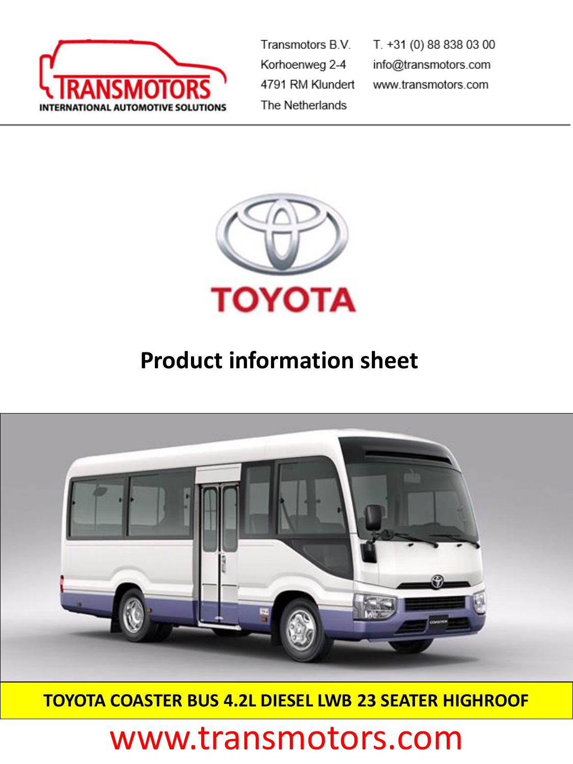

Transmotors B.V. Korhoenweg 2-4 4791 RM Klundert The Netherlands

T. +31 (0) 88 838 03 00 info@transmotors.com www.transmotors.com



## **Product information sheet**



**TOYOTA COASTER BUS 4.2L DIESEL LWB 23 SEATER HIGHROOF**

www.transmotors.com